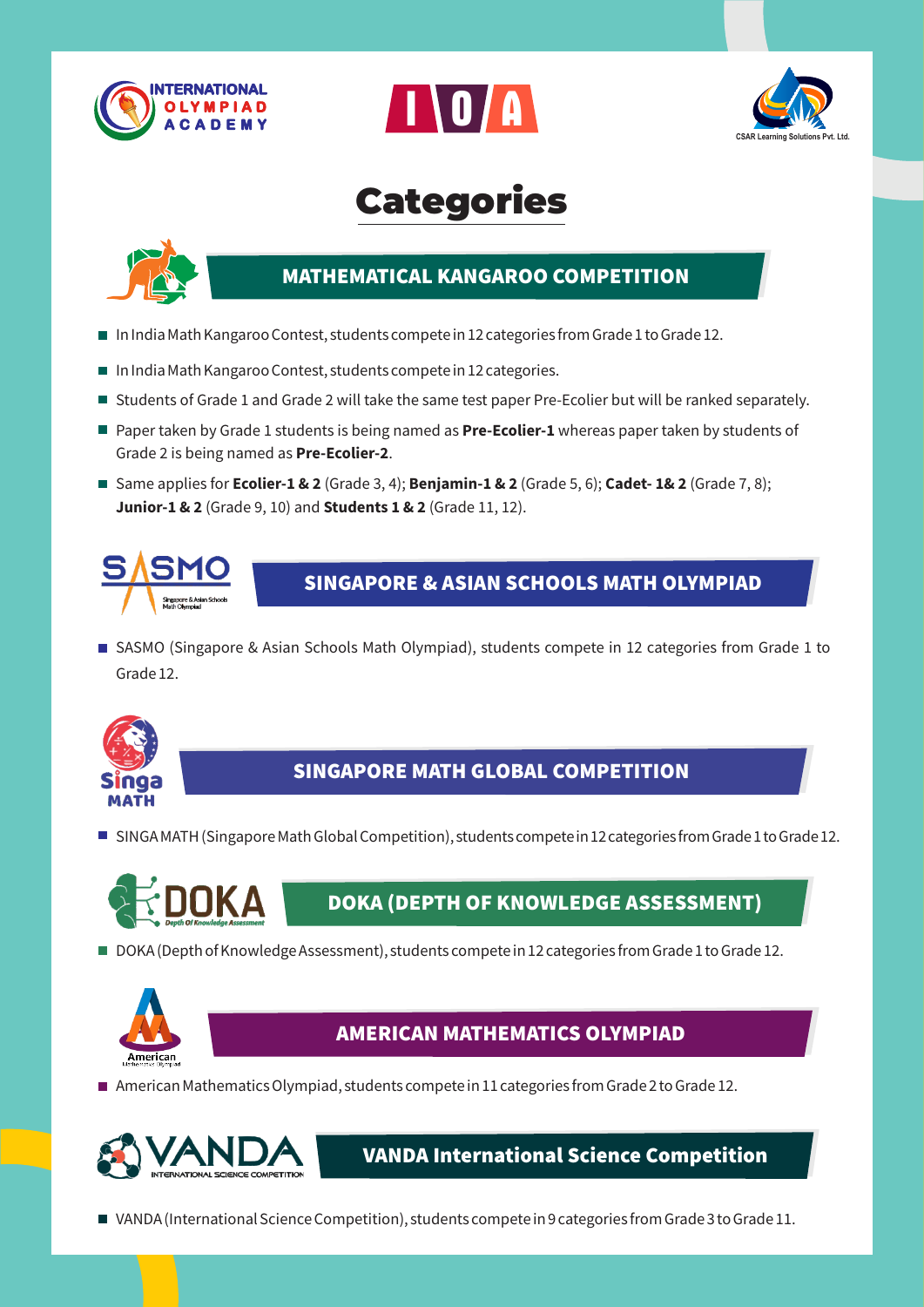





# Categories



## **MATHEMATICAL KANGAROO COMPETITION**

- In India Math Kangaroo Contest, students compete in 12 categories from Grade 1 to Grade 12.
- $\blacksquare$  In India Math Kangaroo Contest, students compete in 12 categories.
- Students of Grade 1 and Grade 2 will take the same test paper Pre-Ecolier but will be ranked separately.
- Paper taken by Grade 1 students is being named as **Pre-Ecolier-1** whereas paper taken by students of Grade 2 is being named as **Pre-Ecolier-2**.
- Same applies for **Ecolier-1 & 2** (Grade 3, 4); **Benjamin-1 & 2** (Grade 5, 6); **Cadet-1& 2** (Grade 7, 8); **Junior-1 & 2** (Grade 9, 10) and **Students 1 & 2** (Grade 11, 12).



### **SINGAPORE & ASIAN SCHOOLS MATH OLYMPIAD**

■ SASMO (Singapore & Asian Schools Math Olympiad), students compete in 12 categories from Grade 1 to Grade 12.



## **SINGAPORE MATH GLOBAL COMPETITION**

■ SINGA MATH (Singapore Math Global Competition), students compete in 12 categories from Grade 1 to Grade 12.



## **DOKA (DEPTH OF KNOWLEDGE ASSESSMENT)**

DOKA (Depth of Knowledge Assessment), students compete in 12 categories from Grade 1 to Grade 12.



### **AMERICAN MATHEMATICS OLYMPIAD**

American Mathematics Olympiad, students compete in 11 categories from Grade 2 to Grade 12.



**VANDA International Science Competition**

VANDA (International Science Competition), students compete in 9 categories from Grade 3 to Grade 11.